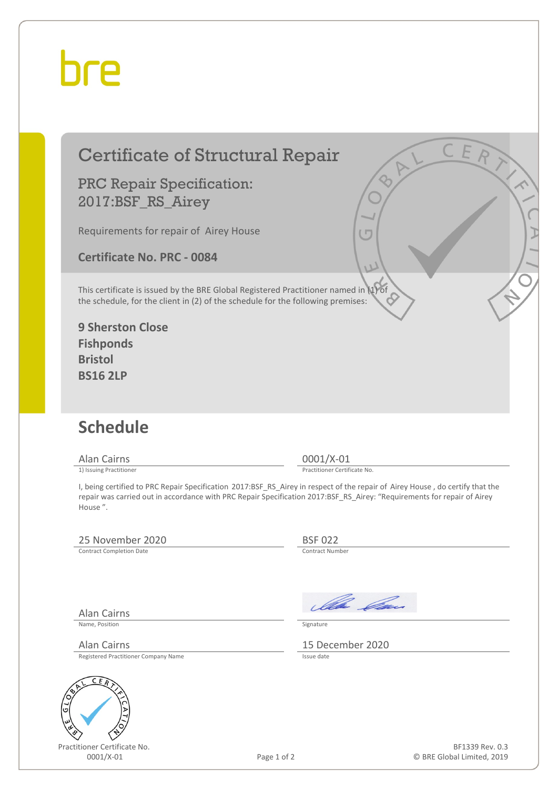## hre

### Certificate of Structural Repair

PRC Repair Specification: 2017:BSF\_RS\_Airey

Requirements for repair of Airey House

**Certificate No. PRC - 0084**

This certificate is issued by the BRE Global Registered Practitioner named in (1) of the schedule, for the client in (2) of the schedule for the following premises:

**9 Sherston Close Fishponds Bristol BS16 2LP**

### **Schedule**

Alan Cairns 0001/X-01<br>
1) Issuing Practitioner<br>
1) Issuing Practitioner

Practitioner Certificate No.

I, being certified to PRC Repair Specification 2017:BSF\_RS\_Airey in respect of the repair of Airey House , do certify that the repair was carried out in accordance with PRC Repair Specification 2017:BSF\_RS\_Airey: "Requirements for repair of Airey House ".

#### 25 November 2020<br>
Contract Completion Date<br>
Contract Number

Contract Completion Date

Alan Cairns

Name, Position Signature

Registered Practitioner Company Name



Practitioner Certificate No.



Alan Cairns 15 December 2020

Page 1 of 2